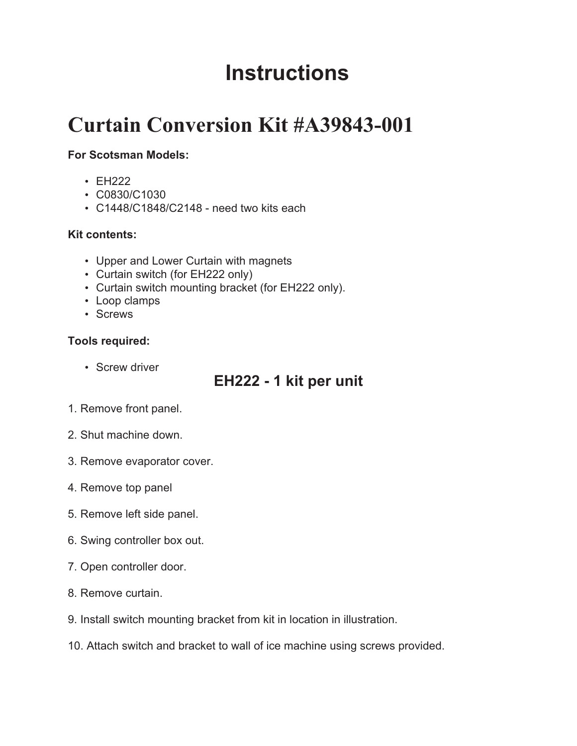# **Instructions**

## **Curtain Conversion Kit #A39843-001**

### **For Scotsman Models:**

- EH222 •
- C0830/C1030
- C1448/C1848/C2148 need two kits each

#### **Kit contents:**

- Upper and Lower Curtain with magnets •
- Curtain switch (for EH222 only) •
- Curtain switch mounting bracket (for EH222 only). •
- Loop clamps •
- Screws

#### **Tools required:**

• Screw driver

## **EH222 - 1 kit per unit**

- 1. Remove front panel.
- 2. Shut machine down.
- 3. Remove evaporator cover.
- 4. Remove top panel
- 5. Remove left side panel.
- 6. Swing controller box out.
- 7. Open controller door.
- 8. Remove curtain.
- 9. Install switch mounting bracket from kit in location in illustration.
- 10. Attach switch and bracket to wall of ice machine using screws provided.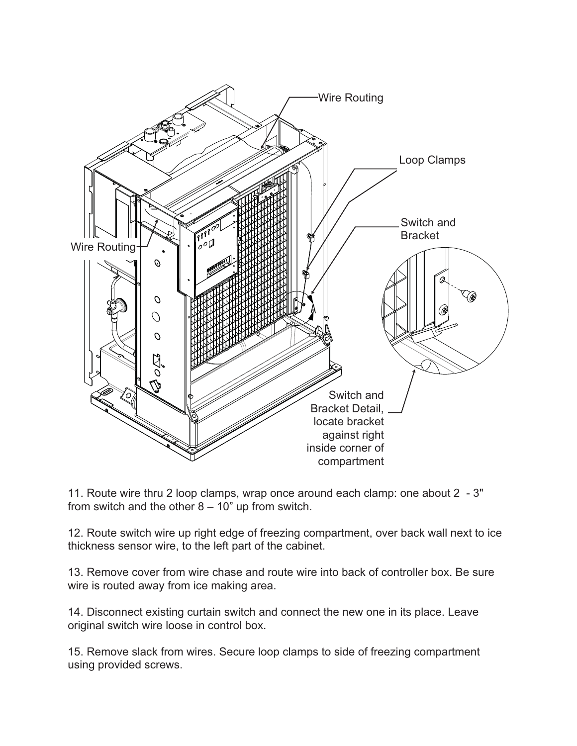

11. Route wire thru 2 loop clamps, wrap once around each clamp: one about 2 - 3" from switch and the other  $8 - 10$ " up from switch.

12. Route switch wire up right edge of freezing compartment, over back wall next to ice thickness sensor wire, to the left part of the cabinet.

13. Remove cover from wire chase and route wire into back of controller box. Be sure wire is routed away from ice making area.

14. Disconnect existing curtain switch and connect the new one in its place. Leave original switch wire loose in control box.

15. Remove slack from wires. Secure loop clamps to side of freezing compartment using provided screws.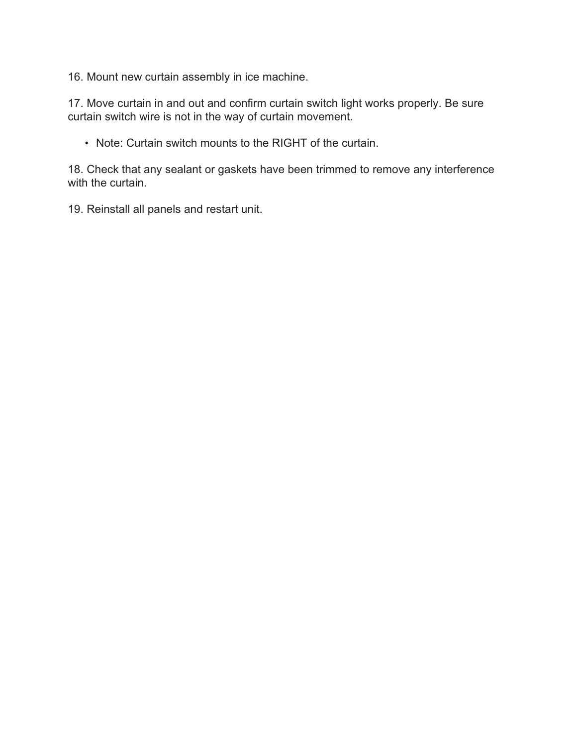16. Mount new curtain assembly in ice machine.

17. Move curtain in and out and confirm curtain switch light works properly. Be sure curtain switch wire is not in the way of curtain movement.

Note: Curtain switch mounts to the RIGHT of the curtain.

18. Check that any sealant or gaskets have been trimmed to remove any interference with the curtain.

19. Reinstall all panels and restart unit.